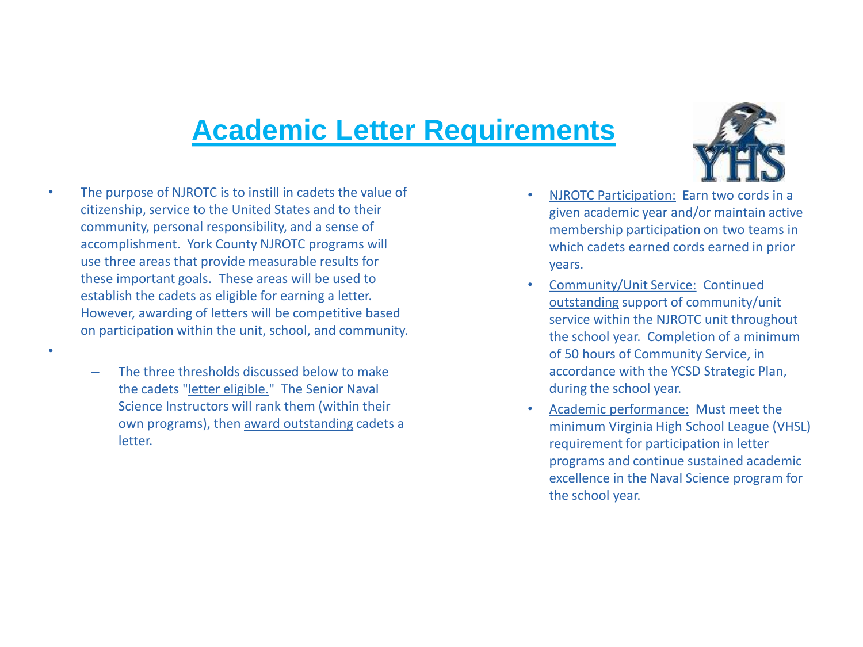## **Academic Letter Requirements**



• The purpose of NJROTC is to instill in cadets the value of citizenship, service to the United States and to their community, personal responsibility, and a sense of accomplishment. York County NJROTC programs will use three areas that provide measurable results for these important goals. These areas will be used to establish the cadets as eligible for earning a letter. However, awarding of letters will be competitive based on participation within the unit, school, and community.

•

– The three thresholds discussed below to make the cadets "letter eligible." The Senior Naval Science Instructors will rank them (within their own programs), then award outstanding cadets a letter.

- NJROTC Participation: Earn two cords in a given academic year and/or maintain active membership participation on two teams in which cadets earned cords earned in prior years.
- Community/Unit Service: Continued outstanding support of community/unit service within the NJROTC unit throughout the school year. Completion of a minimum of 50 hours of Community Service, in accordance with the YCSD Strategic Plan, during the school year.
- Academic performance: Must meet the minimum Virginia High School League (VHSL) requirement for participation in letter programs and continue sustained academic excellence in the Naval Science program for the school year.